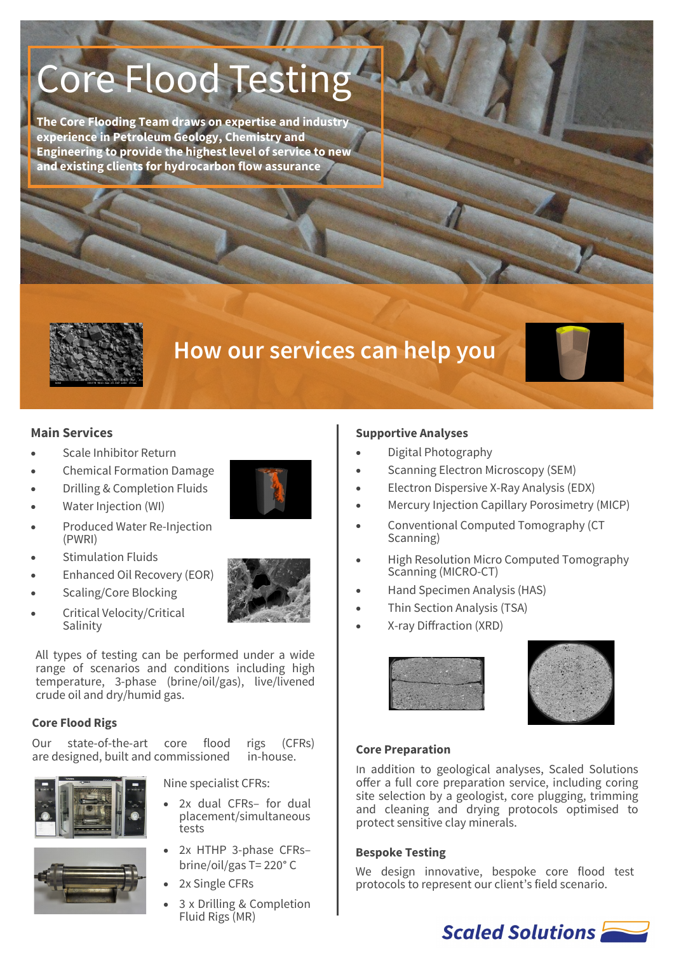# Core Flood Testing

**The Core Flooding Team draws on expertise and industry experience in Petroleum Geology, Chemistry and Engineering to provide the highest level of service to new and existing clients for hydrocarbon flow assurance**



# **How our services can help you**

#### **Main Services**

- Scale Inhibitor Return
- Chemical Formation Damage
- Drilling & Completion Fluids
- Water Injection (WI)
- Produced Water Re-Injection (PWRI)
- Stimulation Fluids
- Enhanced Oil Recovery (EOR)
- Scaling/Core Blocking
- Critical Velocity/Critical Salinity

All types of testing can be performed under a wide range of scenarios and conditions including high temperature, 3-phase (brine/oil/gas), live/livened crude oil and dry/humid gas.

#### **Core Flood Rigs**

Our state-of-the-art core flood rigs (CFRs) are designed, built and commissioned in-house.



Nine specialist CFRs:

- 2x dual CFRs- for dual placement/simultaneous tests
- 2x HTHP 3-phase CFRsbrine/oil/gas T= 220° C
- 2x Single CFRs
- 3 x Drilling & Completion Fluid Rigs (MR)

#### **Supportive Analyses**

- Digital Photography
- Scanning Electron Microscopy (SEM)
- Electron Dispersive X-Ray Analysis (EDX)
- Mercury Injection Capillary Porosimetry (MICP)
- Conventional Computed Tomography (CT Scanning)
- High Resolution Micro Computed Tomography Scanning (MICRO-CT)
- Hand Specimen Analysis (HAS)
- Thin Section Analysis (TSA)
- X-ray Diffraction (XRD)





#### **Core Preparation**

In addition to geological analyses, Scaled Solutions offer a full core preparation service, including coring site selection by a geologist, core plugging, trimming and cleaning and drying protocols optimised to protect sensitive clay minerals.

#### **Bespoke Testing**

We design innovative, bespoke core flood test protocols to represent our client's field scenario.

# Scaled Solutions